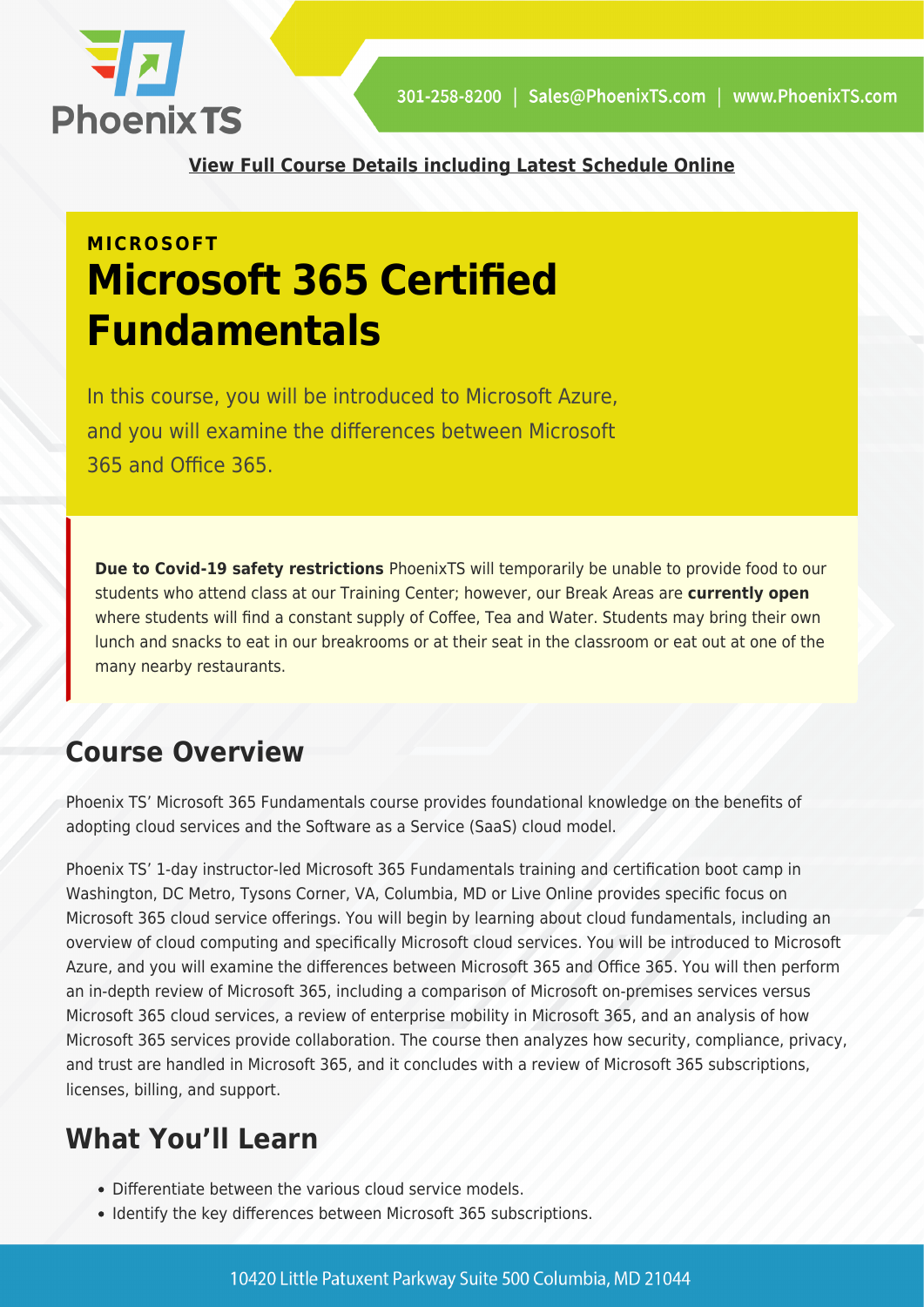

**[View Full Course Details including Latest Schedule Online](https://phoenixts.com/training-courses/ms-900t01-microsoft-365-fundamentals/)**

## **MICROSOFT Microsoft 365 Certified Fundamentals**

In this course, you will be introduced to Microsoft Azure, and you will examine the differences between Microsoft 365 and Office 365.

**Due to Covid-19 safety restrictions** PhoenixTS will temporarily be unable to provide food to our students who attend class at our Training Center; however, our Break Areas are **currently open** where students will find a constant supply of Coffee, Tea and Water. Students may bring their own lunch and snacks to eat in our breakrooms or at their seat in the classroom or eat out at one of the many nearby restaurants.

## **Course Overview**

Phoenix TS' Microsoft 365 Fundamentals course provides foundational knowledge on the benefits of adopting cloud services and the Software as a Service (SaaS) cloud model.

Phoenix TS' 1-day instructor-led Microsoft 365 Fundamentals training and certification boot camp in Washington, DC Metro, Tysons Corner, VA, Columbia, MD or Live Online provides specific focus on Microsoft 365 cloud service offerings. You will begin by learning about cloud fundamentals, including an overview of cloud computing and specifically Microsoft cloud services. You will be introduced to Microsoft Azure, and you will examine the differences between Microsoft 365 and Office 365. You will then perform an in-depth review of Microsoft 365, including a comparison of Microsoft on-premises services versus Microsoft 365 cloud services, a review of enterprise mobility in Microsoft 365, and an analysis of how Microsoft 365 services provide collaboration. The course then analyzes how security, compliance, privacy, and trust are handled in Microsoft 365, and it concludes with a review of Microsoft 365 subscriptions, licenses, billing, and support.

## **What You'll Learn**

- Differentiate between the various cloud service models.
- Identify the key differences between Microsoft 365 subscriptions.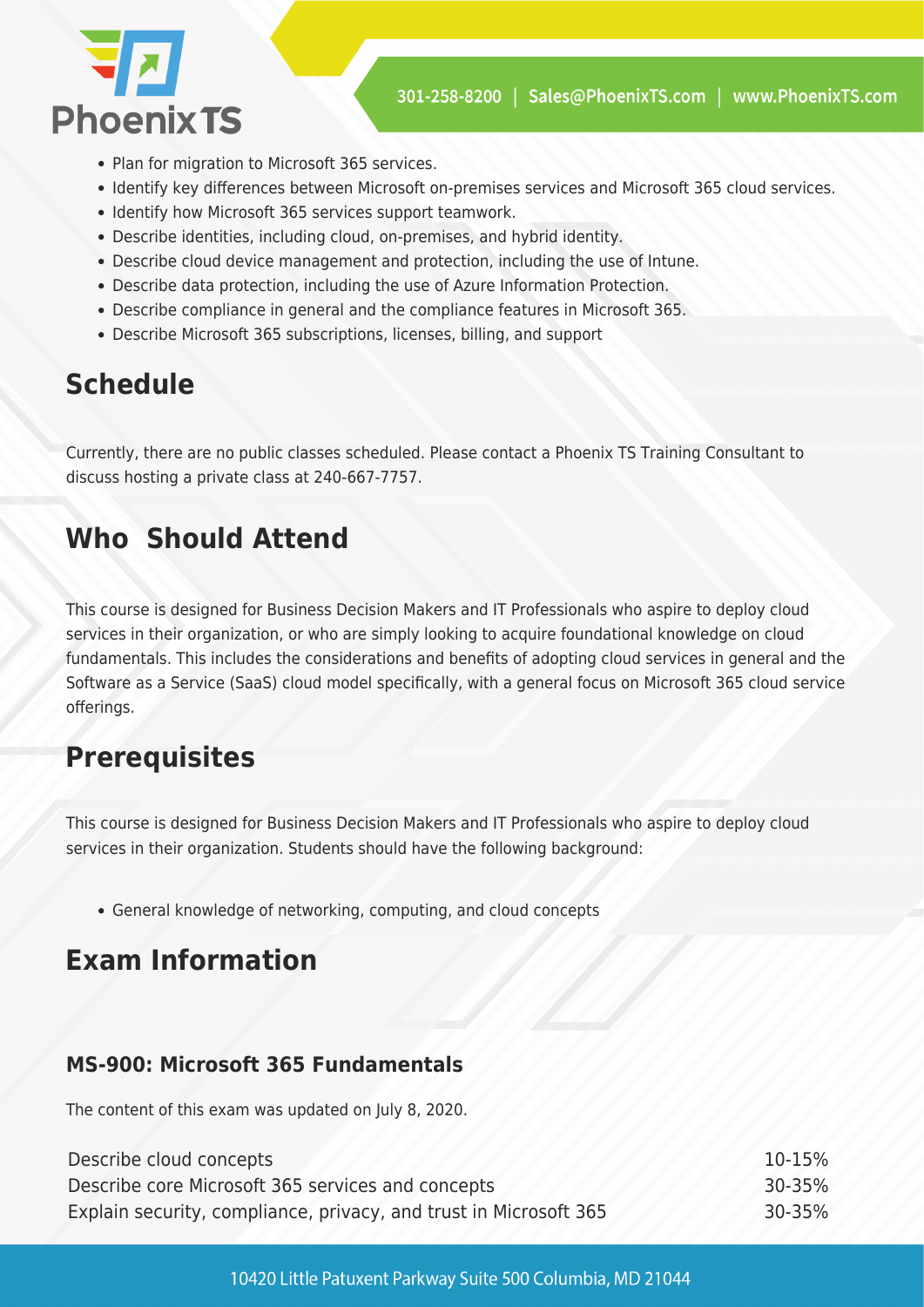

- Plan for migration to Microsoft 365 services.
- Identify key differences between Microsoft on-premises services and Microsoft 365 cloud services.
- Identify how Microsoft 365 services support teamwork.
- Describe identities, including cloud, on-premises, and hybrid identity.
- Describe cloud device management and protection, including the use of Intune.
- Describe data protection, including the use of Azure Information Protection.
- Describe compliance in general and the compliance features in Microsoft 365.
- Describe Microsoft 365 subscriptions, licenses, billing, and support

## **Schedule**

Currently, there are no public classes scheduled. Please contact a Phoenix TS Training Consultant to discuss hosting a private class at 240-667-7757.

## **Who Should Attend**

This course is designed for Business Decision Makers and IT Professionals who aspire to deploy cloud services in their organization, or who are simply looking to acquire foundational knowledge on cloud fundamentals. This includes the considerations and benefits of adopting cloud services in general and the Software as a Service (SaaS) cloud model specifically, with a general focus on Microsoft 365 cloud service offerings.

#### **Prerequisites**

This course is designed for Business Decision Makers and IT Professionals who aspire to deploy cloud services in their organization. Students should have the following background:

General knowledge of networking, computing, and cloud concepts

#### **Exam Information**

#### **MS-900: Microsoft 365 Fundamentals**

The content of this exam was updated on July 8, 2020.

| Describe cloud concepts                                           | $10 - 15%$ |
|-------------------------------------------------------------------|------------|
| Describe core Microsoft 365 services and concepts                 | $30 - 35%$ |
| Explain security, compliance, privacy, and trust in Microsoft 365 | $30 - 35%$ |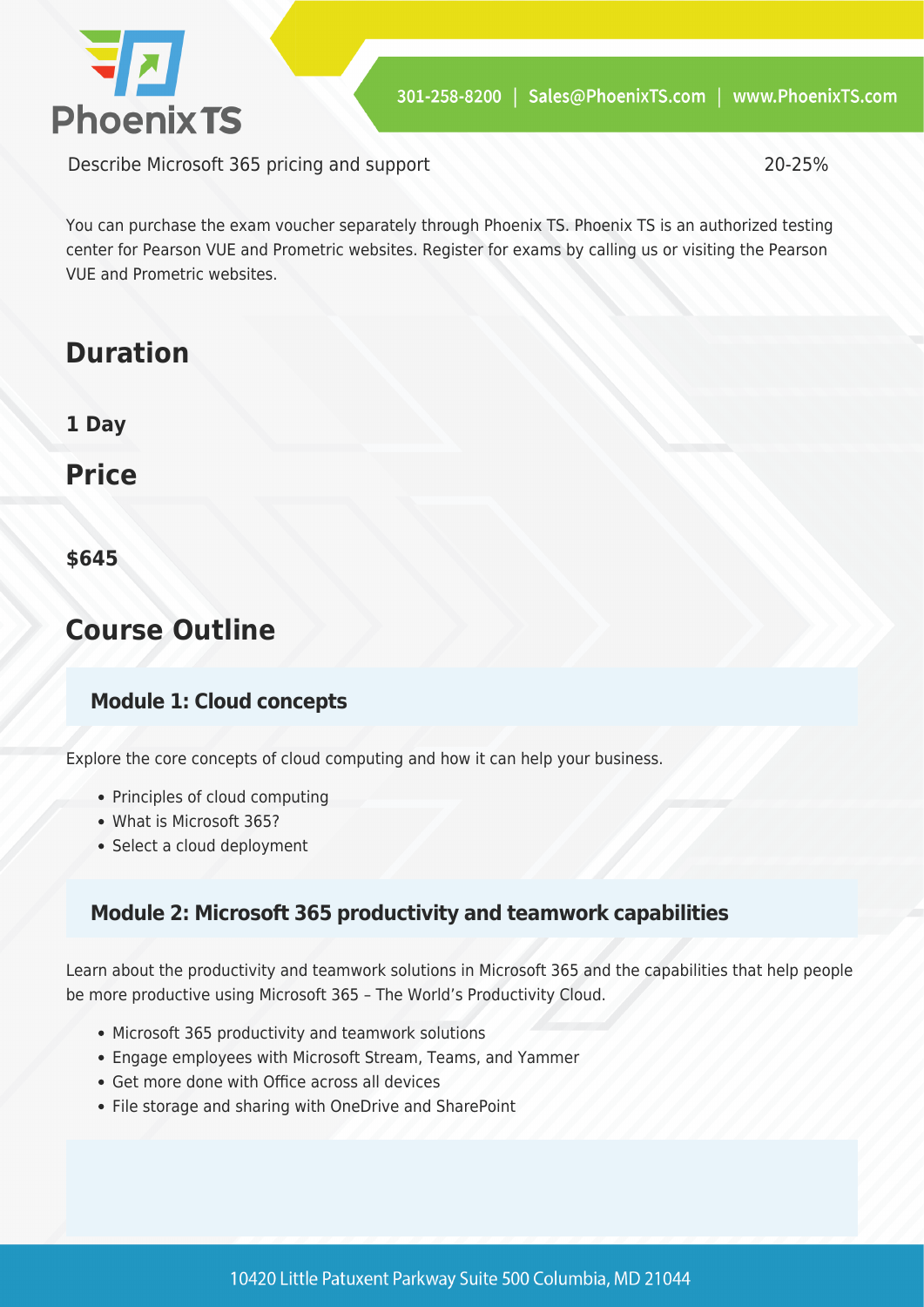

Describe Microsoft 365 pricing and support 20-25%

You can purchase the exam voucher separately through Phoenix TS. Phoenix TS is an authorized testing center for Pearson VUE and Prometric websites. Register for exams by calling us or visiting the Pearson VUE and Prometric websites.

## **Duration**

**1 Day**

**Price**

**\$645**

## **Course Outline**

#### **Module 1: Cloud concepts**

Explore the core concepts of cloud computing and how it can help your business.

- Principles of cloud computing
- What is Microsoft 365?
- Select a cloud deployment

#### **Module 2: Microsoft 365 productivity and teamwork capabilities**

Learn about the productivity and teamwork solutions in Microsoft 365 and the capabilities that help people be more productive using Microsoft 365 – The World's Productivity Cloud.

- Microsoft 365 productivity and teamwork solutions
- Engage employees with Microsoft Stream, Teams, and Yammer
- Get more done with Office across all devices
- File storage and sharing with OneDrive and SharePoint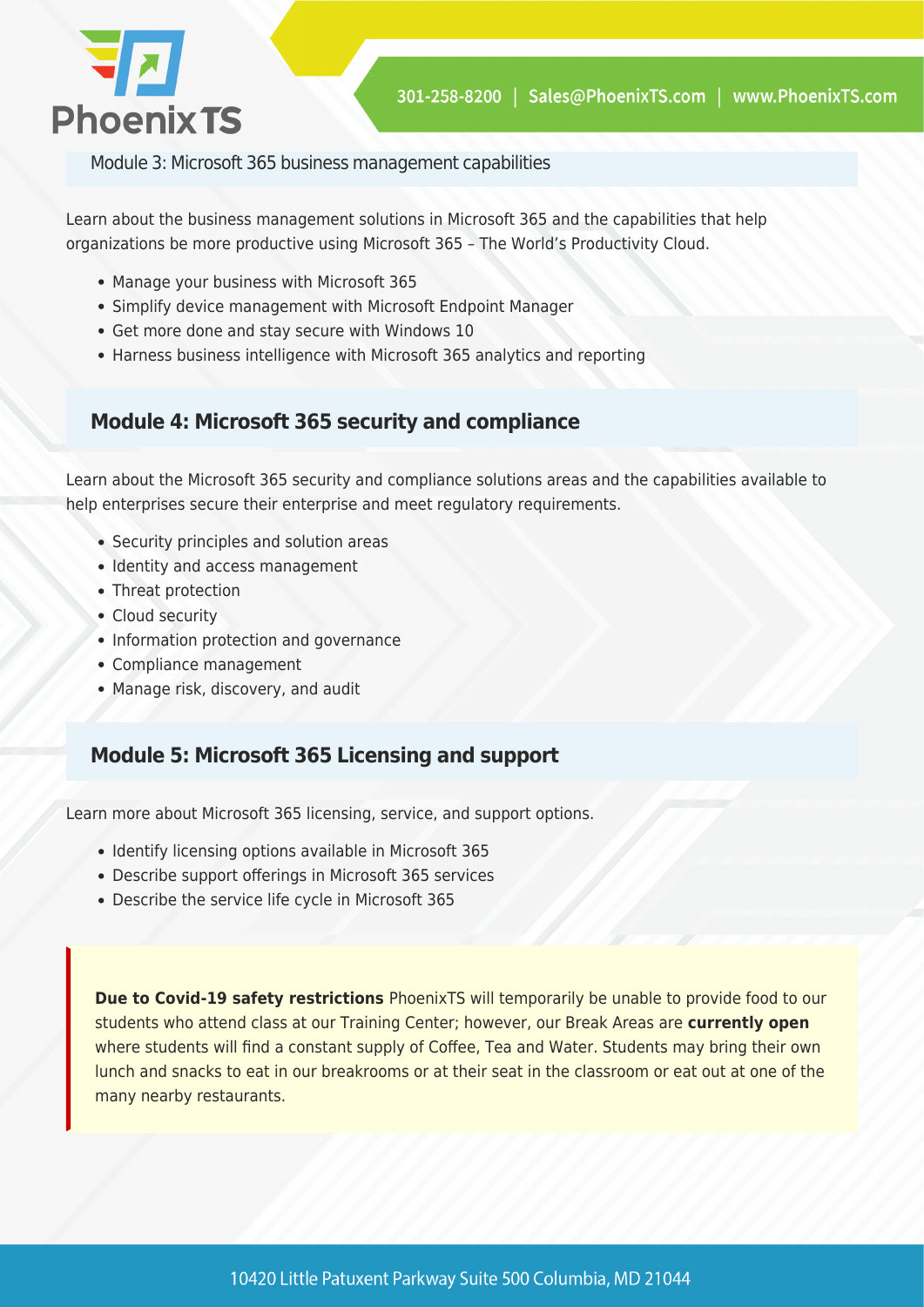

Module 3: Microsoft 365 business management capabilities

Learn about the business management solutions in Microsoft 365 and the capabilities that help organizations be more productive using Microsoft 365 – The World's Productivity Cloud.

- Manage your business with Microsoft 365
- Simplify device management with Microsoft Endpoint Manager
- Get more done and stay secure with Windows 10
- Harness business intelligence with Microsoft 365 analytics and reporting

#### **Module 4: Microsoft 365 security and compliance**

Learn about the Microsoft 365 security and compliance solutions areas and the capabilities available to help enterprises secure their enterprise and meet regulatory requirements.

- Security principles and solution areas
- Identity and access management
- Threat protection
- Cloud security
- Information protection and governance
- Compliance management
- Manage risk, discovery, and audit

#### **Module 5: Microsoft 365 Licensing and support**

Learn more about Microsoft 365 licensing, service, and support options.

- Identify licensing options available in Microsoft 365
- Describe support offerings in Microsoft 365 services
- Describe the service life cycle in Microsoft 365

**Due to Covid-19 safety restrictions** PhoenixTS will temporarily be unable to provide food to our students who attend class at our Training Center; however, our Break Areas are **currently open** where students will find a constant supply of Coffee, Tea and Water. Students may bring their own lunch and snacks to eat in our breakrooms or at their seat in the classroom or eat out at one of the many nearby restaurants.